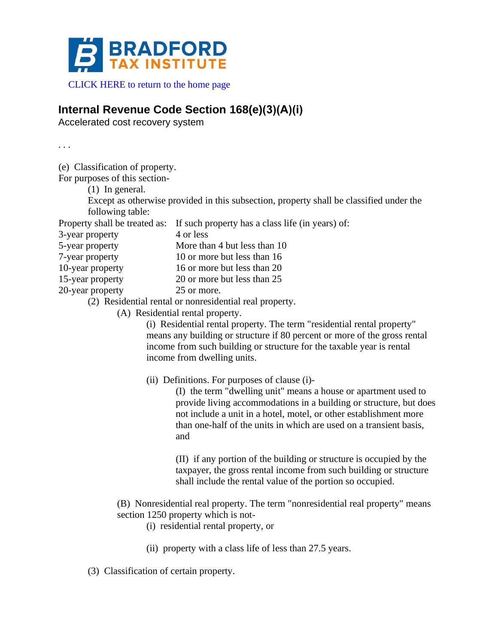

[CLICK HERE to return to the home page](https://www.bradfordtaxinstitute.com)

## **Internal Revenue Code Section 168(e)(3)(A)(i)**

Accelerated cost recovery system

. . .

(e) Classification of property.

For purposes of this section-

(1) In general.

Except as otherwise provided in this subsection, property shall be classified under the following table:

Property shall be treated as: If such property has a class life (in years) of:

3-year property 4 or less

5-year property More than 4 but less than 10

7-year property 10 or more but less than 16

10-year property 16 or more but less than 20

15-year property 20 or more but less than 25

20-year property 25 or more.

- (2) Residential rental or nonresidential real property.
	- (A) Residential rental property.

(i) Residential rental property. The term "residential rental property" means any building or structure if 80 percent or more of the gross rental income from such building or structure for the taxable year is rental income from dwelling units.

(ii) Definitions. For purposes of clause (i)-

(I) the term "dwelling unit" means a house or apartment used to provide living accommodations in a building or structure, but does not include a unit in a hotel, motel, or other establishment more than one-half of the units in which are used on a transient basis, and

(II) if any portion of the building or structure is occupied by the taxpayer, the gross rental income from such building or structure shall include the rental value of the portion so occupied.

- (B) Nonresidential real property. The term "nonresidential real property" means section 1250 property which is not-
	- (i) residential rental property, or
	- (ii) property with a class life of less than 27.5 years.
- (3) Classification of certain property.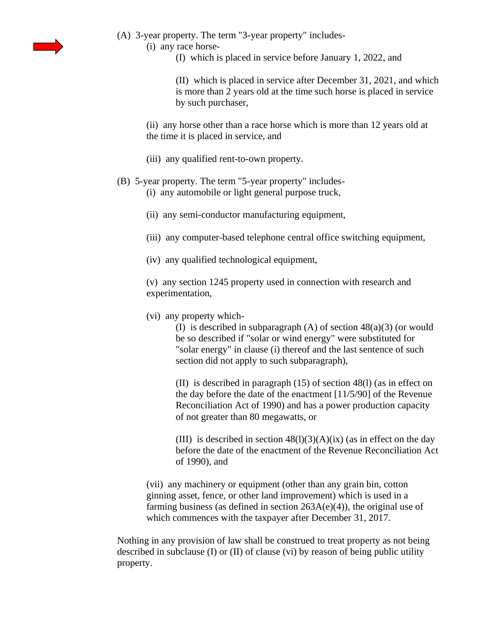

- (A) 3-year property. The term "3-year property" includes-
	- (i) any race horse-
		- (I) which is placed in service before January 1, 2022, and

(II) which is placed in service after December 31, 2021, and which is more than 2 years old at the time such horse is placed in service by such purchaser,

(ii) any horse other than a race horse which is more than 12 years old at the time it is placed in service, and

(iii) any qualified rent-to-own property.

## (B) 5-year property. The term "5-year property" includes-

(i) any automobile or light general purpose truck,

- (ii) any semi-conductor manufacturing equipment,
- (iii) any computer-based telephone central office switching equipment,
- (iv) any qualified technological equipment,

(v) any section 1245 property used in connection with research and experimentation,

(vi) any property which-

(I) is described in subparagraph (A) of section 48(a)(3) (or would be so described if "solar or wind energy" were substituted for "solar energy" in clause (i) thereof and the last sentence of such section did not apply to such subparagraph),

(II) is described in paragraph (15) of section 48(l) (as in effect on the day before the date of the enactment [11/5/90] of the Revenue Reconciliation Act of 1990) and has a power production capacity of not greater than 80 megawatts, or

(III) is described in section  $48(1)(3)(A)(ix)$  (as in effect on the day before the date of the enactment of the Revenue Reconciliation Act of 1990), and

(vii) any machinery or equipment (other than any grain bin, cotton ginning asset, fence, or other land improvement) which is used in a farming business (as defined in section  $263A(e)(4)$ ), the original use of which commences with the taxpayer after December 31, 2017.

Nothing in any provision of law shall be construed to treat property as not being described in subclause (I) or (II) of clause (vi) by reason of being public utility property.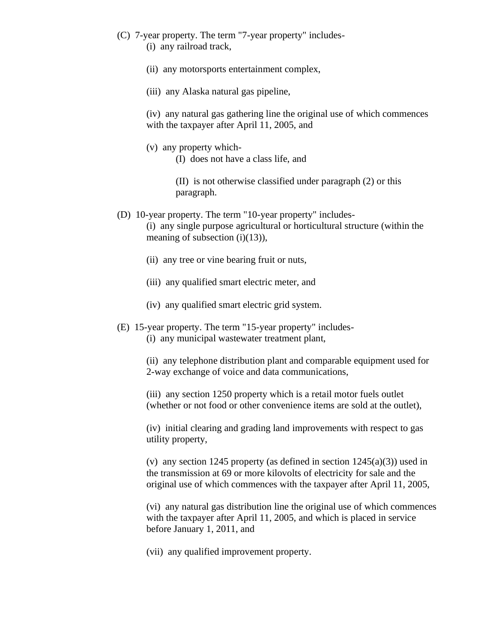- (C) 7-year property. The term "7-year property" includes- (i) any railroad track,
	- (ii) any motorsports entertainment complex,
	- (iii) any Alaska natural gas pipeline,

(iv) any natural gas gathering line the original use of which commences with the taxpayer after April 11, 2005, and

(v) any property which-

(I) does not have a class life, and

(II) is not otherwise classified under paragraph (2) or this paragraph.

- (D) 10-year property. The term "10-year property" includes- (i) any single purpose agricultural or horticultural structure (within the meaning of subsection (i)(13)),
	- (ii) any tree or vine bearing fruit or nuts,
	- (iii) any qualified smart electric meter, and
	- (iv) any qualified smart electric grid system.
- (E) 15-year property. The term "15-year property" includes- (i) any municipal wastewater treatment plant,

(ii) any telephone distribution plant and comparable equipment used for 2-way exchange of voice and data communications,

(iii) any section 1250 property which is a retail motor fuels outlet (whether or not food or other convenience items are sold at the outlet),

(iv) initial clearing and grading land improvements with respect to gas utility property,

(v) any section 1245 property (as defined in section  $1245(a)(3)$ ) used in the transmission at 69 or more kilovolts of electricity for sale and the original use of which commences with the taxpayer after April 11, 2005,

(vi) any natural gas distribution line the original use of which commences with the taxpayer after April 11, 2005, and which is placed in service before January 1, 2011, and

(vii) any qualified improvement property.